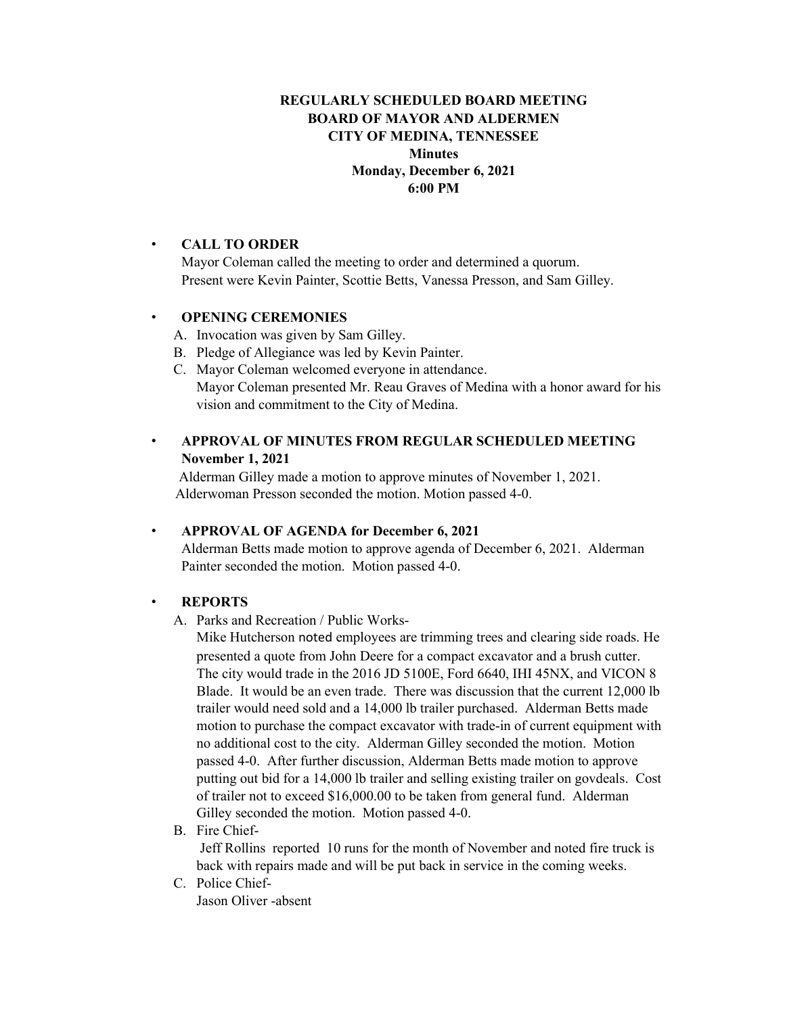## **REGULARLY SCHEDULED BOARD MEETING BOARD OF MAYOR AND ALDERMEN CITY OF MEDINA, TENNESSEE Minutes Monday, December 6, 2021 6:00 PM**

#### • **CALL TO ORDER**

Mayor Coleman called the meeting to order and determined a quorum. Present were Kevin Painter, Scottie Betts, Vanessa Presson, and Sam Gilley.

### • **OPENING CEREMONIES**

- A. Invocation was given by Sam Gilley.
- B. Pledge of Allegiance was led by Kevin Painter.
- C. Mayor Coleman welcomed everyone in attendance. Mayor Coleman presented Mr. Reau Graves of Medina with a honor award for his vision and commitment to the City of Medina.

## • **APPROVAL OF MINUTES FROM REGULAR SCHEDULED MEETING November 1, 2021**

Alderman Gilley made a motion to approve minutes of November 1, 2021. Alderwoman Presson seconded the motion. Motion passed 4-0.

## • **APPROVAL OF AGENDA for December 6, 2021**

Alderman Betts made motion to approve agenda of December 6, 2021. Alderman Painter seconded the motion. Motion passed 4-0.

#### • **REPORTS**

A. Parks and Recreation / Public Works-

Mike Hutcherson noted employees are trimming trees and clearing side roads. He presented a quote from John Deere for a compact excavator and a brush cutter. The city would trade in the 2016 JD 5100E, Ford 6640, IHI 45NX, and VICON 8 Blade. It would be an even trade. There was discussion that the current 12,000 lb trailer would need sold and a 14,000 lb trailer purchased. Alderman Betts made motion to purchase the compact excavator with trade-in of current equipment with no additional cost to the city. Alderman Gilley seconded the motion. Motion passed 4-0. After further discussion, Alderman Betts made motion to approve putting out bid for a 14,000 lb trailer and selling existing trailer on govdeals. Cost of trailer not to exceed \$16,000.00 to be taken from general fund. Alderman Gilley seconded the motion. Motion passed 4-0.

B. Fire Chief-

Jeff Rollins reported 10 runs for the month of November and noted fire truck is back with repairs made and will be put back in service in the coming weeks.

C. Police Chief-Jason Oliver -absent